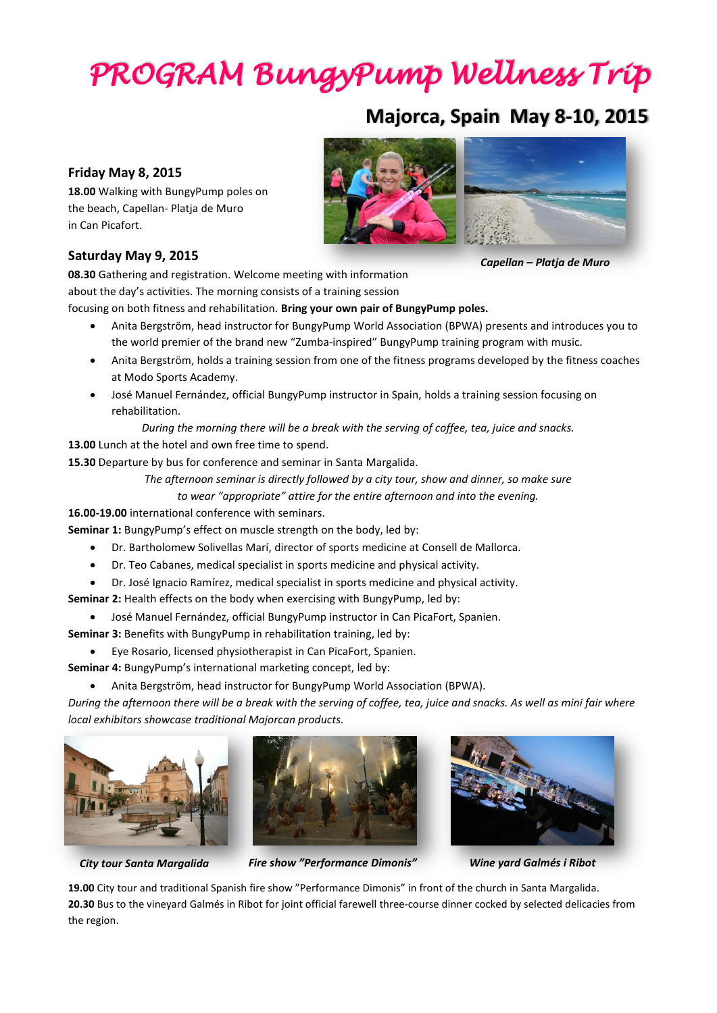# *PROGRAM BungyPump Wellness Trip*

# **Majorca, Spain May 8-10, 2015**

# **Friday May 8, 2015**

**18.00** Walking with BungyPump poles on the beach, Capellan- Platja de Muro in Can Picafort.

# **Saturday May 9, 2015**

**08.30** Gathering and registration. Welcome meeting with information about the day's activities. The morning consists of a training session

focusing on both fitness and rehabilitation. **Bring your own pair of BungyPump poles.**

- Anita Bergström, head instructor for BungyPump World Association (BPWA) presents and introduces you to the world premier of the brand new "Zumba-inspired" BungyPump training program with music.
- Anita Bergström, holds a training session from one of the fitness programs developed by the fitness coaches at Modo Sports Academy.
- José Manuel Fernández, official BungyPump instructor in Spain, holds a training session focusing on rehabilitation.

*During the morning there will be a break with the serving of coffee, tea, juice and snacks.*

**13.00** Lunch at the hotel and own free time to spend.

**15.30** Departure by bus for conference and seminar in Santa Margalida.

*The afternoon seminar is directly followed by a city tour, show and dinner, so make sure* 

*to wear "appropriate" attire for the entire afternoon and into the evening.*

**16.00-19.00** international conference with seminars.

**Seminar 1:** BungyPump's effect on muscle strength on the body, led by:

- Dr. Bartholomew Solivellas Marí, director of sports medicine at Consell de Mallorca.
- Dr. Teo Cabanes, medical specialist in sports medicine and physical activity.
- Dr. José Ignacio Ramírez, medical specialist in sports medicine and physical activity.

**Seminar 2:** Health effects on the body when exercising with BungyPump, led by:

José Manuel Fernández, official BungyPump instructor in Can PicaFort, Spanien.

**Seminar 3:** Benefits with BungyPump in rehabilitation training, led by:

- Eye Rosario, licensed physiotherapist in Can PicaFort, Spanien.
- **Seminar 4:** BungyPump's international marketing concept, led by:
	- Anita Bergström, head instructor for BungyPump World Association (BPWA).

*During the afternoon there will be a break with the serving of coffee, tea, juice and snacks. As well as mini fair where local exhibitors showcase traditional Majorcan products.*







*City tour Santa Margalida Fire show "Performance Dimonis" Wine yard Galmés i Ribot*

**19.00** City tour and traditional Spanish fire show "Performance Dimonis" in front of the church in Santa Margalida. **20.30** Bus to the vineyard Galmés in Ribot for joint official farewell three-course dinner cocked by selected delicacies from the region.



*Capellan – Platja de Muro*

- -